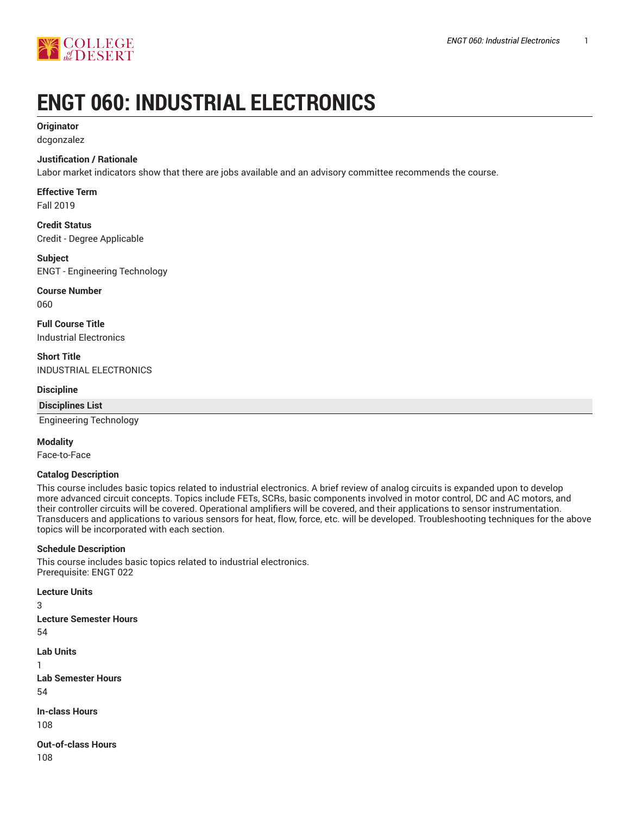

# **ENGT 060: INDUSTRIAL ELECTRONICS**

### **Originator**

dcgonzalez

#### **Justification / Rationale**

Labor market indicators show that there are jobs available and an advisory committee recommends the course.

# **Effective Term**

Fall 2019

**Credit Status** Credit - Degree Applicable

# **Subject**

ENGT - Engineering Technology

# **Course Number**

060

**Full Course Title** Industrial Electronics

# **Short Title**

INDUSTRIAL ELECTRONICS

#### **Discipline**

#### **Disciplines List**

Engineering Technology

#### **Modality**

Face-to-Face

#### **Catalog Description**

This course includes basic topics related to industrial electronics. A brief review of analog circuits is expanded upon to develop more advanced circuit concepts. Topics include FETs, SCRs, basic components involved in motor control, DC and AC motors, and their controller circuits will be covered. Operational amplifiers will be covered, and their applications to sensor instrumentation. Transducers and applications to various sensors for heat, flow, force, etc. will be developed. Troubleshooting techniques for the above topics will be incorporated with each section.

#### **Schedule Description**

This course includes basic topics related to industrial electronics. Prerequisite: ENGT 022

**Lecture Units**

3

**Lecture Semester Hours**

54

**Lab Units** 1 **Lab Semester Hours** 54 **In-class Hours** 108

**Out-of-class Hours** 108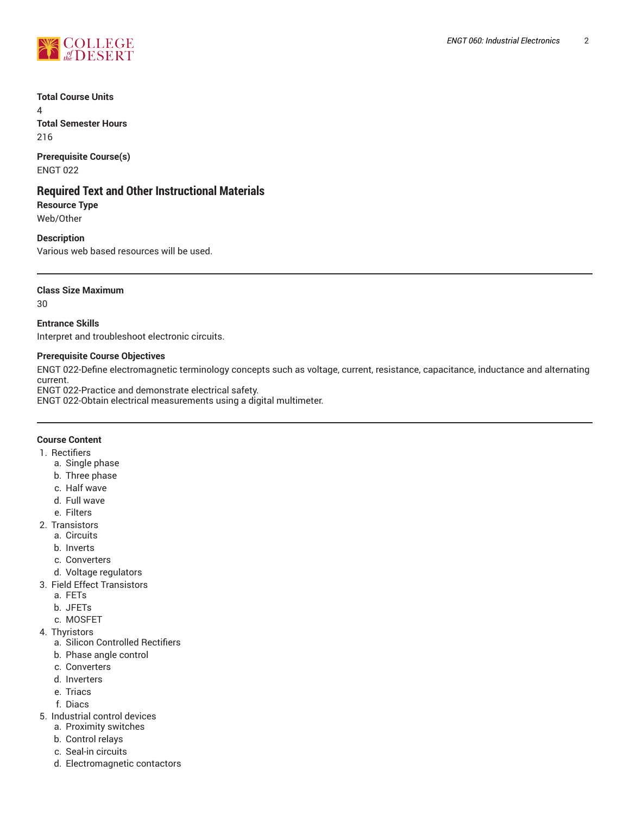

**Total Course Units**

4 **Total Semester Hours** 216

**Prerequisite Course(s)** ENGT 022

# **Required Text and Other Instructional Materials**

**Resource Type** Web/Other

#### **Description**

Various web based resources will be used.

#### **Class Size Maximum**

30

#### **Entrance Skills**

Interpret and troubleshoot electronic circuits.

#### **Prerequisite Course Objectives**

ENGT 022-Define electromagnetic terminology concepts such as voltage, current, resistance, capacitance, inductance and alternating current.

ENGT 022-Practice and demonstrate electrical safety.

ENGT 022-Obtain electrical measurements using a digital multimeter.

#### **Course Content**

- 1. Rectifiers
	- a. Single phase
	- b. Three phase
	- c. Half wave
	- d. Full wave
	- e. Filters
- 2. Transistors
	- a. Circuits
	- b. Inverts
	- c. Converters
	- d. Voltage regulators
- 3. Field Effect Transistors
	- a. FETs
	- b. JFETs
	- c. MOSFET
- 4. Thyristors
	- a. Silicon Controlled Rectifiers
	- b. Phase angle control
	- c. Converters
	- d. Inverters
	- e. Triacs
	- f. Diacs
- 5. Industrial control devices
	- a. Proximity switches
	- b. Control relays
	- c. Seal-in circuits
	- d. Electromagnetic contactors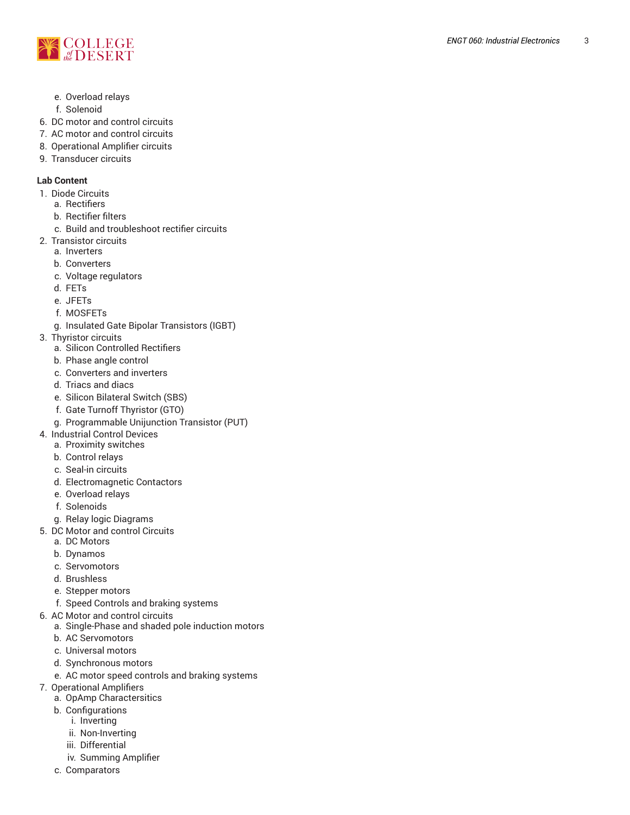

- e. Overload relays
- f. Solenoid
- 6. DC motor and control circuits
- 7. AC motor and control circuits
- 8. Operational Amplifier circuits
- 9. Transducer circuits

### **Lab Content**

- 1. Diode Circuits
	- a. Rectifiers
	- b. Rectifier filters
	- c. Build and troubleshoot rectifier circuits
- 2. Transistor circuits
	- a. Inverters
	- b. Converters
	- c. Voltage regulators
	- d. F E T s
	- e. JFETs
	- f. M O S F E T s
	- g. Insulated Gate Bipolar Transistors (IGBT)
- 3. Thyristor circuits
	- a. Silicon Controlled Rectifiers
	- b. Phase angle control
	- c. Converters and inverters
	- d. Triacs and diacs
	- e. Silicon Bilateral Switch (SBS)
	- f. Gate Turnoff Thyristor (GTO)
	- g. Programmable Unijunction Transistor (PUT)
- 4. Industrial Control Devices
	- a. P r o ximit y s wit c h e s
	- b. Control relays
	- c. Seal-in circuits
	- d. Electromagnetic Contactors
	- e. Overload relays
	- f. Solenoids
	- g. Relay logic Diagrams
- 5. DC Motor and control Circuits
	- a. DC Motors
	- b. Dynamos
	- c. Servomotors
	- d. Brushless
	- e. Stepper motors
	- f. Speed Controls and braking systems
- 6. AC Motor and control circuits
	- a. Single-Phase and shaded pole induction motors
	- b. AC Servomotors
	- c. Universal motors
	- d. Synchronous motors
	- e. AC motor speed controls and braking systems
- 7. Operational Amplifiers
	- a. OpAmp Charactersitics
	- b. Configurations
		- i. Inverting
		- ii. Non-Inverting
		- iii. Differential
		- iv. Summing Amplifier
	- c. Comparators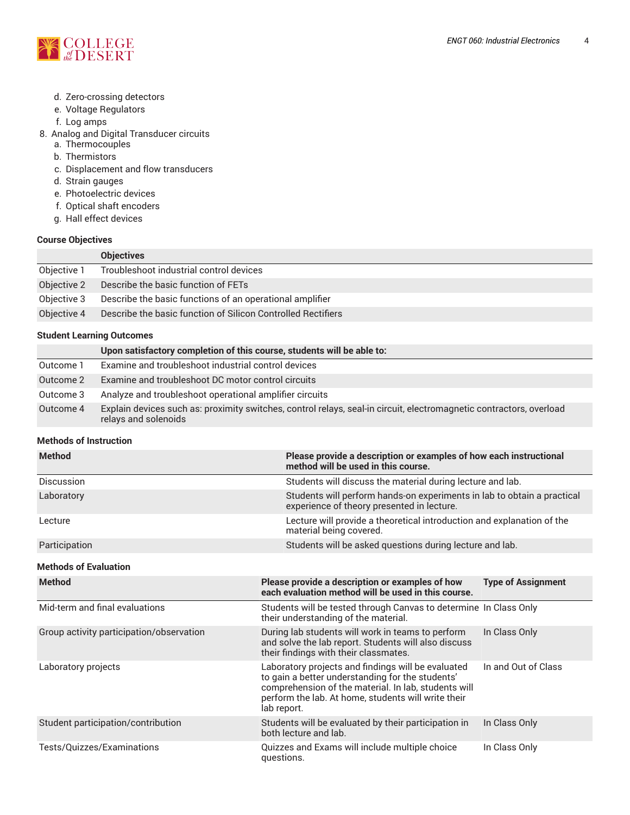

- d. Zero-crossing detectors
- e. Voltage Regulators
- f. Log amps
- 8. Analog and Digital Transducer circuits
	- a. Thermocouples
	- b. Thermistors
	- c. Displacement and flow transducers
	- d. Strain gauges
	- e. Photoelectric devices
	- f. Optical shaft encoders
	- g. Hall effect devices

#### **Course Objectives**

|             | <b>Objectives</b>                                            |
|-------------|--------------------------------------------------------------|
| Objective 1 | Troubleshoot industrial control devices                      |
| Objective 2 | Describe the basic function of FETs                          |
| Objective 3 | Describe the basic functions of an operational amplifier     |
| Objective 4 | Describe the basic function of Silicon Controlled Rectifiers |

#### **Student Learning Outcomes**

|           | Upon satisfactory completion of this course, students will be able to:                                                                      |
|-----------|---------------------------------------------------------------------------------------------------------------------------------------------|
| Outcome 1 | Examine and troubleshoot industrial control devices                                                                                         |
| Outcome 2 | Examine and troubleshoot DC motor control circuits                                                                                          |
| Outcome 3 | Analyze and troubleshoot operational amplifier circuits                                                                                     |
| Outcome 4 | Explain devices such as: proximity switches, control relays, seal-in circuit, electromagnetic contractors, overload<br>relays and solenoids |

#### **Methods of Instruction**

| <b>Method</b>     | Please provide a description or examples of how each instructional<br>method will be used in this course.             |
|-------------------|-----------------------------------------------------------------------------------------------------------------------|
| <b>Discussion</b> | Students will discuss the material during lecture and lab.                                                            |
| Laboratory        | Students will perform hands-on experiments in lab to obtain a practical<br>experience of theory presented in lecture. |
| Lecture           | Lecture will provide a theoretical introduction and explanation of the<br>material being covered.                     |
| Participation     | Students will be asked questions during lecture and lab.                                                              |

#### **Methods of Evaluation**

| <b>Method</b>                            | Please provide a description or examples of how<br>each evaluation method will be used in this course.                                                                                                                               | <b>Type of Assignment</b> |
|------------------------------------------|--------------------------------------------------------------------------------------------------------------------------------------------------------------------------------------------------------------------------------------|---------------------------|
| Mid-term and final evaluations           | Students will be tested through Canvas to determine In Class Only<br>their understanding of the material.                                                                                                                            |                           |
| Group activity participation/observation | During lab students will work in teams to perform<br>and solve the lab report. Students will also discuss<br>their findings with their classmates.                                                                                   | In Class Only             |
| Laboratory projects                      | Laboratory projects and findings will be evaluated<br>to gain a better understanding for the students'<br>comprehension of the material. In lab, students will<br>perform the lab. At home, students will write their<br>lab report. | In and Out of Class       |
| Student participation/contribution       | Students will be evaluated by their participation in<br>both lecture and lab.                                                                                                                                                        | In Class Only             |
| Tests/Quizzes/Examinations               | Quizzes and Exams will include multiple choice<br>questions.                                                                                                                                                                         | In Class Only             |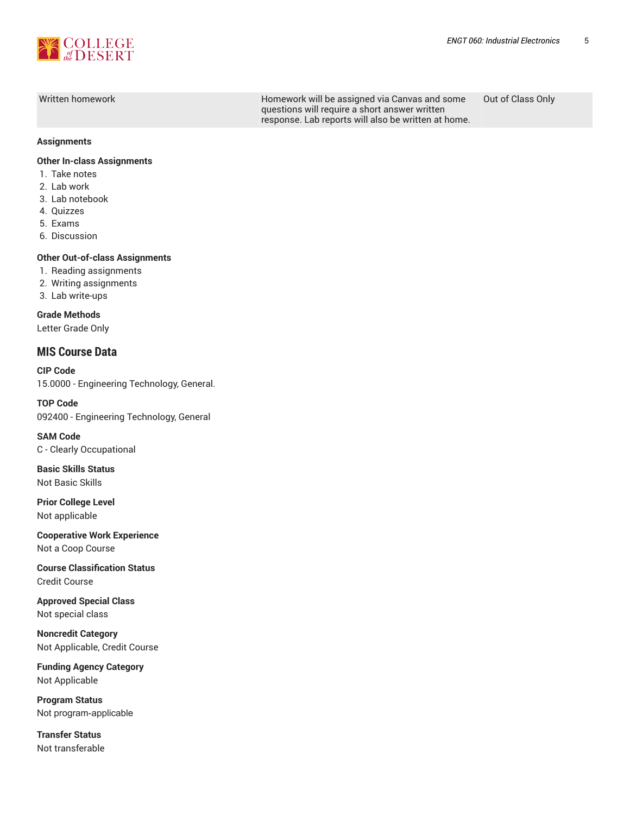

Written homework **Homework Will be assigned via Canvas and some** questions will require a short answer written response. Lab reports will also be written at home.

Out of Class Only

#### **Assignments**

#### **Other In-class Assignments**

- 1. Take notes
- 2. Lab work
- 3. Lab notebook
- 4. Quizzes
- 5. Exams
- 6. Discussion

#### **Other Out-of-class Assignments**

- 1. Reading assignments
- 2. Writing assignments
- 3. Lab write-ups

**Grade Methods** Letter Grade Only

#### **MIS Course Data**

**CIP Code** 15.0000 - Engineering Technology, General.

**TOP Code** 092400 - Engineering Technology, General

**SAM Code** C - Clearly Occupational

**Basic Skills Status** Not Basic Skills

**Prior College Level** Not applicable

**Cooperative Work Experience** Not a Coop Course

**Course Classification Status** Credit Course

**Approved Special Class** Not special class

**Noncredit Category** Not Applicable, Credit Course

**Funding Agency Category** Not Applicable

**Program Status** Not program-applicable

**Transfer Status** Not transferable